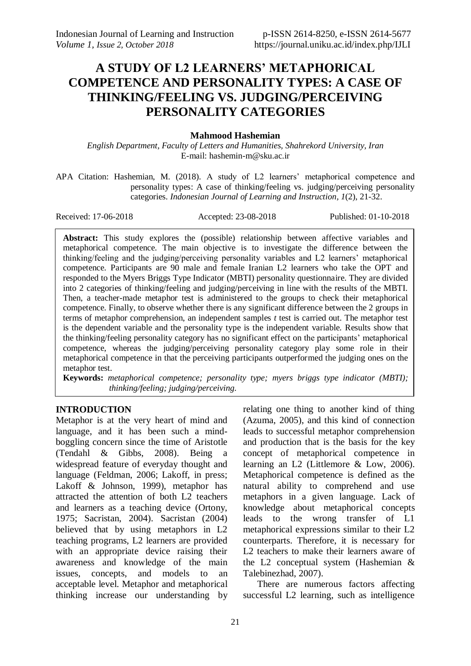# **A STUDY OF L2 LEARNERS' METAPHORICAL COMPETENCE AND PERSONALITY TYPES: A CASE OF THINKING/FEELING VS. JUDGING/PERCEIVING PERSONALITY CATEGORIES**

# **Mahmood Hashemian**

*English Department, Faculty of Letters and Humanities, Shahrekord University, Iran* E-mail: hashemin-m@sku.ac.ir

APA Citation: Hashemian, M. (2018). A study of L2 learners' metaphorical competence and personality types: A case of thinking/feeling vs. judging/perceiving personality categories. *Indonesian Journal of Learning and Instruction, 1*(2), 21-32.

Received: 17-06-2018 Accepted: 23-08-2018 Published: 01-10-2018

**Abstract:** This study explores the (possible) relationship between affective variables and metaphorical competence. The main objective is to investigate the difference between the thinking/feeling and the judging/perceiving personality variables and L2 learners' metaphorical competence. Participants are 90 male and female Iranian L2 learners who take the OPT and responded to the Myers Briggs Type Indicator (MBTI) personality questionnaire. They are divided into 2 categories of thinking/feeling and judging/perceiving in line with the results of the MBTI. Then, a teacher-made metaphor test is administered to the groups to check their metaphorical competence. Finally, to observe whether there is any significant difference between the 2 groups in terms of metaphor comprehension, an independent samples *t* test is carried out. The metaphor test is the dependent variable and the personality type is the independent variable. Results show that the thinking/feeling personality category has no significant effect on the participants' metaphorical competence, whereas the judging/perceiving personality category play some role in their metaphorical competence in that the perceiving participants outperformed the judging ones on the metaphor test.

**Keywords:** *metaphorical competence; personality type; myers briggs type indicator (MBTI); thinking/feeling; judging/perceiving.*

# **INTRODUCTION**

Metaphor is at the very heart of mind and language, and it has been such a mindboggling concern since the time of Aristotle (Tendahl & Gibbs, 2008). Being a widespread feature of everyday thought and language (Feldman, 2006; Lakoff, in press; Lakoff & Johnson, 1999), metaphor has attracted the attention of both L2 teachers and learners as a teaching device (Ortony, 1975; Sacristan, 2004). Sacristan (2004) believed that by using metaphors in L2 teaching programs, L2 learners are provided with an appropriate device raising their awareness and knowledge of the main issues, concepts, and models to an acceptable level. Metaphor and metaphorical thinking increase our understanding by

relating one thing to another kind of thing (Azuma, 2005), and this kind of connection leads to successful metaphor comprehension and production that is the basis for the key concept of metaphorical competence in learning an L2 (Littlemore & Low, 2006). Metaphorical competence is defined as the natural ability to comprehend and use metaphors in a given language. Lack of knowledge about metaphorical concepts leads to the wrong transfer of L1 metaphorical expressions similar to their L2 counterparts. Therefore, it is necessary for L2 teachers to make their learners aware of the L2 conceptual system (Hashemian & Talebinezhad, 2007).

There are numerous factors affecting successful L2 learning, such as intelligence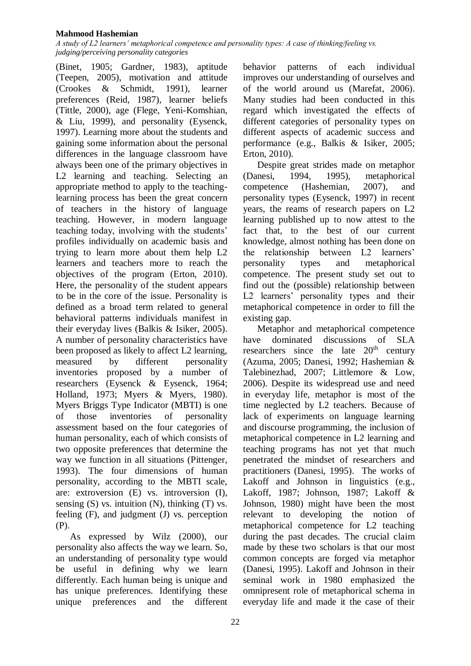*A study of L2 learners' metaphorical competence and personality types: A case of thinking/feeling vs. judging/perceiving personality categories*

(Binet, 1905; Gardner, 1983), aptitude (Teepen, 2005), motivation and attitude (Crookes & Schmidt, 1991), learner preferences (Reid, 1987), learner beliefs (Tittle, 2000), age (Flege, Yeni-Komshian, & Liu, 1999), and personality (Eysenck, 1997). Learning more about the students and gaining some information about the personal differences in the language classroom have always been one of the primary objectives in L2 learning and teaching. Selecting an appropriate method to apply to the teachinglearning process has been the great concern of teachers in the history of language teaching. However, in modern language teaching today, involving with the students' profiles individually on academic basis and trying to learn more about them help L2 learners and teachers more to reach the objectives of the program (Erton, 2010). Here, the personality of the student appears to be in the core of the issue. Personality is defined as a broad term related to general behavioral patterns individuals manifest in their everyday lives (Balkis & Isiker, 2005). A number of personality characteristics have been proposed as likely to affect L2 learning, measured by different personality inventories proposed by a number of researchers (Eysenck & Eysenck, 1964; Holland, 1973; Myers & Myers, 1980). Myers Briggs Type Indicator (MBTI) is one of those inventories of personality assessment based on the four categories of human personality, each of which consists of two opposite preferences that determine the way we function in all situations (Pittenger, 1993). The four dimensions of human personality, according to the MBTI scale, are: extroversion (E) vs. introversion (I), sensing  $(S)$  vs. intuition  $(N)$ , thinking  $(T)$  vs. feeling (F), and judgment (J) vs. perception (P).

As expressed by Wilz (2000), our personality also affects the way we learn. So, an understanding of personality type would be useful in defining why we learn differently. Each human being is unique and has unique preferences. Identifying these unique preferences and the different behavior patterns of each individual improves our understanding of ourselves and of the world around us (Marefat, 2006). Many studies had been conducted in this regard which investigated the effects of different categories of personality types on different aspects of academic success and performance (e.g., Balkis & Isiker, 2005; Erton, 2010).

Despite great strides made on metaphor (Danesi, 1994, 1995), metaphorical competence (Hashemian, 2007), and personality types (Eysenck, 1997) in recent years, the reams of research papers on L2 learning published up to now attest to the fact that, to the best of our current knowledge, almost nothing has been done on the relationship between L2 learners' personality types and metaphorical competence. The present study set out to find out the (possible) relationship between L2 learners' personality types and their metaphorical competence in order to fill the existing gap.

Metaphor and metaphorical competence have dominated discussions of SLA researchers since the late  $20<sup>th</sup>$  century (Azuma, 2005; Danesi, 1992; Hashemian & Talebinezhad, 2007; Littlemore & Low, 2006). Despite its widespread use and need in everyday life, metaphor is most of the time neglected by L2 teachers. Because of lack of experiments on language learning and discourse programming, the inclusion of metaphorical competence in L2 learning and teaching programs has not yet that much penetrated the mindset of researchers and practitioners (Danesi, 1995). The works of Lakoff and Johnson in linguistics (e.g., Lakoff, 1987; Johnson, 1987; Lakoff & Johnson, 1980) might have been the most relevant to developing the notion of metaphorical competence for L2 teaching during the past decades. The crucial claim made by these two scholars is that our most common concepts are forged via metaphor (Danesi, 1995). Lakoff and Johnson in their seminal work in 1980 emphasized the omnipresent role of metaphorical schema in everyday life and made it the case of their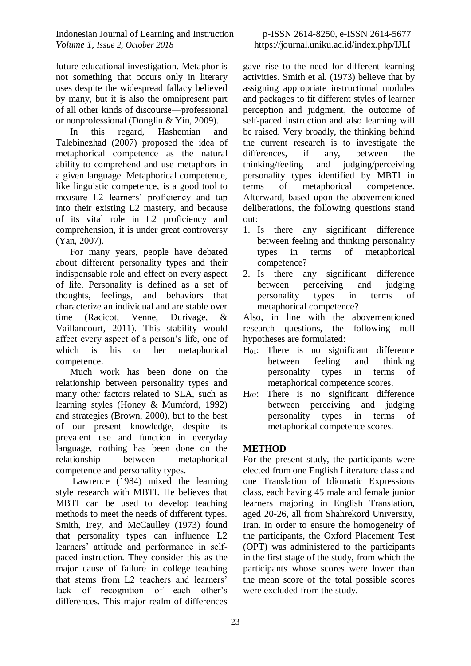future educational investigation. Metaphor is not something that occurs only in literary uses despite the widespread fallacy believed by many, but it is also the omnipresent part of all other kinds of discourse—professional or nonprofessional (Donglin & Yin, 2009).

In this regard, Hashemian and Talebinezhad (2007) proposed the idea of metaphorical competence as the natural ability to comprehend and use metaphors in a given language. Metaphorical competence, like linguistic competence, is a good tool to measure L2 learners' proficiency and tap into their existing L2 mastery, and because of its vital role in L2 proficiency and comprehension, it is under great controversy (Yan, 2007).

For many years, people have debated about different personality types and their indispensable role and effect on every aspect of life. Personality is defined as a set of thoughts, feelings, and behaviors that characterize an individual and are stable over time (Racicot, Venne, Durivage, & Vaillancourt, 2011). This stability would affect every aspect of a person's life, one of which is his or her metaphorical competence.

Much work has been done on the relationship between personality types and many other factors related to SLA, such as learning styles (Honey & Mumford, 1992) and strategies (Brown, 2000), but to the best of our present knowledge, despite its prevalent use and function in everyday language, nothing has been done on the relationship between metaphorical competence and personality types.

Lawrence (1984) mixed the learning style research with MBTI. He believes that MBTI can be used to develop teaching methods to meet the needs of different types. Smith, Irey, and McCaulley (1973) found that personality types can influence L2 learners' attitude and performance in selfpaced instruction. They consider this as the major cause of failure in college teaching that stems from L2 teachers and learners' lack of recognition of each other's differences. This major realm of differences

# p-ISSN 2614-8250, e-ISSN 2614-5677 https://journal.uniku.ac.id/index.php/IJLI

gave rise to the need for different learning activities. Smith et al. (1973) believe that by assigning appropriate instructional modules and packages to fit different styles of learner perception and judgment, the outcome of self-paced instruction and also learning will be raised. Very broadly, the thinking behind the current research is to investigate the differences, if any, between the thinking/feeling and judging/perceiving personality types identified by MBTI in terms of metaphorical competence. Afterward, based upon the abovementioned deliberations, the following questions stand out:

- 1. Is there any significant difference between feeling and thinking personality types in terms of metaphorical competence?
- 2. Is there any significant difference between perceiving and judging personality types in terms of metaphorical competence?

Also, in line with the abovementioned research questions, the following null hypotheses are formulated:

- $H_{01}$ : There is no significant difference between feeling and thinking personality types in terms of metaphorical competence scores.
- $H_{02}$ : There is no significant difference between perceiving and judging personality types in terms of metaphorical competence scores.

# **METHOD**

For the present study, the participants were elected from one English Literature class and one Translation of Idiomatic Expressions class, each having 45 male and female junior learners majoring in English Translation, aged 20-26, all from Shahrekord University, Iran. In order to ensure the homogeneity of the participants, the Oxford Placement Test (OPT) was administered to the participants in the first stage of the study, from which the participants whose scores were lower than the mean score of the total possible scores were excluded from the study.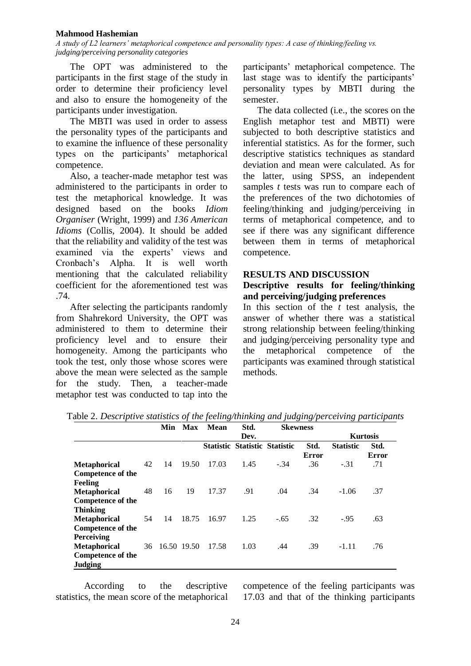*A study of L2 learners' metaphorical competence and personality types: A case of thinking/feeling vs. judging/perceiving personality categories*

The OPT was administered to the participants in the first stage of the study in order to determine their proficiency level and also to ensure the homogeneity of the participants under investigation.

The MBTI was used in order to assess the personality types of the participants and to examine the influence of these personality types on the participants' metaphorical competence.

Also, a teacher-made metaphor test was administered to the participants in order to test the metaphorical knowledge. It was designed based on the books *Idiom Organiser* (Wright, 1999) and *136 American Idioms* (Collis, 2004). It should be added that the reliability and validity of the test was examined via the experts' views and Cronbach's Alpha. It is well worth mentioning that the calculated reliability coefficient for the aforementioned test was .74.

After selecting the participants randomly from Shahrekord University, the OPT was administered to them to determine their proficiency level and to ensure their homogeneity. Among the participants who took the test, only those whose scores were above the mean were selected as the sample for the study. Then, a teacher-made metaphor test was conducted to tap into the participants' metaphorical competence. The last stage was to identify the participants' personality types by MBTI during the semester.

The data collected (i.e., the scores on the English metaphor test and MBTI) were subjected to both descriptive statistics and inferential statistics. As for the former, such descriptive statistics techniques as standard deviation and mean were calculated. As for the latter, using SPSS, an independent samples *t* tests was run to compare each of the preferences of the two dichotomies of feeling/thinking and judging/perceiving in terms of metaphorical competence, and to see if there was any significant difference between them in terms of metaphorical competence.

# **RESULTS AND DISCUSSION**

# **Descriptive results for feeling/thinking and perceiving/judging preferences**

In this section of the *t* test analysis, the answer of whether there was a statistical strong relationship between feeling/thinking and judging/perceiving personality type and the metaphorical competence of the participants was examined through statistical methods.

|                                                                                        |    | Min            | Max   | Std.<br>Mean |      |                                      | <b>Skewness</b> |                  |                      |
|----------------------------------------------------------------------------------------|----|----------------|-------|--------------|------|--------------------------------------|-----------------|------------------|----------------------|
|                                                                                        |    |                |       |              | Dev. |                                      |                 |                  | <b>Kurtosis</b>      |
|                                                                                        |    |                |       |              |      | <b>Statistic Statistic Statistic</b> | Std.<br>Error   | <b>Statistic</b> | Std.<br><b>Error</b> |
| <b>Metaphorical</b><br>Competence of the<br><b>Feeling</b>                             | 42 | 14             | 19.50 | 17.03        | 1.45 | $-.34$                               | .36             | $-.31$           | .71                  |
| <b>Metaphorical</b><br><b>Competence of the</b>                                        | 48 | 16             | 19    | 17.37        | .91  | .04                                  | .34             | $-1.06$          | .37                  |
| <b>Thinking</b><br><b>Metaphorical</b><br>Competence of the                            | 54 | 14             | 18.75 | 16.97        | 1.25 | $-.65$                               | .32             | $-.95$           | .63                  |
| <b>Perceiving</b><br><b>Metaphorical</b><br><b>Competence of the</b><br><b>Judging</b> |    | 36 16.50 19.50 |       | 17.58        | 1.03 | .44                                  | .39             | $-1.11$          | .76                  |

Table 2. *Descriptive statistics of the feeling/thinking and judging/perceiving participants*

According to the descriptive statistics, the mean score of the metaphorical competence of the feeling participants was 17.03 and that of the thinking participants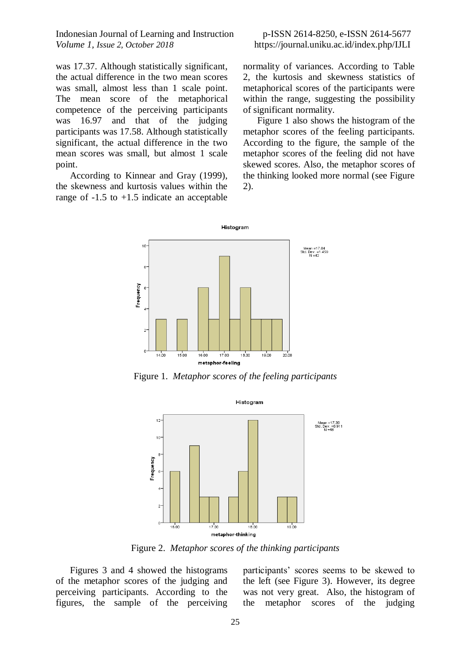was 17.37. Although statistically significant, the actual difference in the two mean scores was small, almost less than 1 scale point. The mean score of the metaphorical competence of the perceiving participants was 16.97 and that of the judging participants was 17.58. Although statistically significant, the actual difference in the two mean scores was small, but almost 1 scale point.

According to Kinnear and Gray (1999), the skewness and kurtosis values within the range of  $-1.5$  to  $+1.5$  indicate an acceptable

## p-ISSN 2614-8250, e-ISSN 2614-5677 https://journal.uniku.ac.id/index.php/IJLI

normality of variances. According to Table 2, the kurtosis and skewness statistics of metaphorical scores of the participants were within the range, suggesting the possibility of significant normality.

Figure 1 also shows the histogram of the metaphor scores of the feeling participants. According to the figure, the sample of the metaphor scores of the feeling did not have skewed scores. Also, the metaphor scores of the thinking looked more normal (see Figure 2).



Figure 1. *Metaphor scores of the feeling participants*



Figure 2. *Metaphor scores of the thinking participants*

Figures 3 and 4 showed the histograms of the metaphor scores of the judging and perceiving participants. According to the figures, the sample of the perceiving

participants' scores seems to be skewed to the left (see Figure 3). However, its degree was not very great. Also, the histogram of the metaphor scores of the judging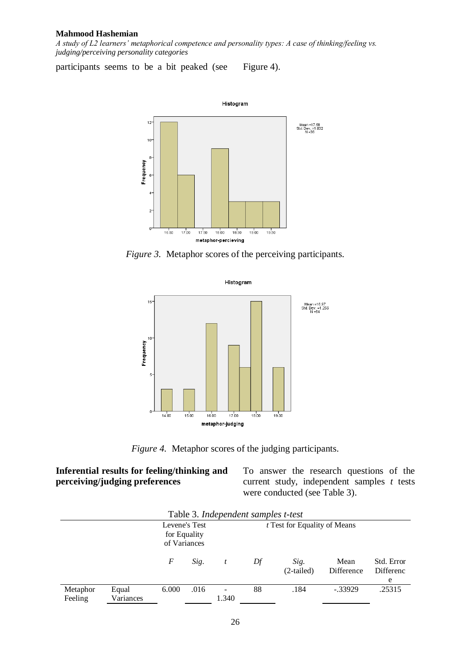*A study of L2 learners' metaphorical competence and personality types: A case of thinking/feeling vs. judging/perceiving personality categories*

participants seems to be a bit peaked (see Figure 4).



*Figure 3.* Metaphor scores of the perceiving participants.



*Figure 4.* Metaphor scores of the judging participants.

# **Inferential results for feeling/thinking and perceiving/judging preferences**

To answer the research questions of the current study, independent samples *t* tests were conducted (see Table 3).

| Table 5. Independent samples t-test |                    |                                               |      |       |                                     |                      |                    |                              |  |
|-------------------------------------|--------------------|-----------------------------------------------|------|-------|-------------------------------------|----------------------|--------------------|------------------------------|--|
|                                     |                    | Levene's Test<br>for Equality<br>of Variances |      |       | <i>t</i> Test for Equality of Means |                      |                    |                              |  |
|                                     |                    | F                                             | Sig. |       | Df                                  | Sig.<br>$(2-tailed)$ | Mean<br>Difference | Std. Error<br>Differenc<br>e |  |
| Metaphor<br>Feeling                 | Equal<br>Variances | 6.000                                         | .016 | 1.340 | 88                                  | .184                 | $-.33929$          | .25315                       |  |

| Table 3. Independent samples t-test |
|-------------------------------------|
|-------------------------------------|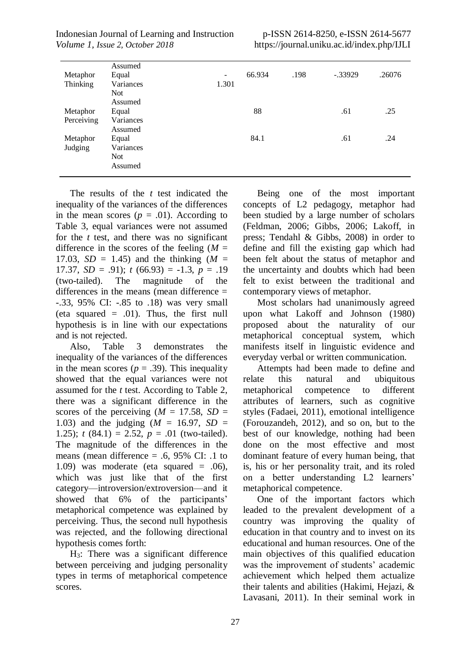|                 | Assumed    |                              |        |      |           |        |
|-----------------|------------|------------------------------|--------|------|-----------|--------|
| Metaphor        | Equal      | $\qquad \qquad \blacksquare$ | 66.934 | .198 | $-.33929$ | .26076 |
| <b>Thinking</b> | Variances  | 1.301                        |        |      |           |        |
|                 | <b>Not</b> |                              |        |      |           |        |
|                 | Assumed    |                              |        |      |           |        |
| Metaphor        | Equal      |                              | 88     |      | .61       | .25    |
| Perceiving      | Variances  |                              |        |      |           |        |
|                 | Assumed    |                              |        |      |           |        |
| Metaphor        | Equal      |                              | 84.1   |      | .61       | .24    |
| Judging         | Variances  |                              |        |      |           |        |
|                 | <b>Not</b> |                              |        |      |           |        |
|                 | Assumed    |                              |        |      |           |        |
|                 |            |                              |        |      |           |        |

The results of the *t* test indicated the inequality of the variances of the differences in the mean scores  $(p = .01)$ . According to Table 3, equal variances were not assumed for the *t* test, and there was no significant difference in the scores of the feeling  $(M =$ 17.03, *SD* = 1.45) and the thinking  $(M =$ 17.37,  $SD = .91$ ;  $t(66.93) = -1.3$ ,  $p = .19$ (two-tailed). The magnitude of the differences in the means (mean difference = -.33, 95% CI: -.85 to .18) was very small (eta squared  $= .01$ ). Thus, the first null hypothesis is in line with our expectations and is not rejected.

Also, Table 3 demonstrates the inequality of the variances of the differences in the mean scores ( $p = .39$ ). This inequality showed that the equal variances were not assumed for the *t* test. According to Table 2, there was a significant difference in the scores of the perceiving  $(M = 17.58, SD =$ 1.03) and the judging (*M* = 16.97, *SD* = 1.25);  $t(84.1) = 2.52$ ,  $p = .01$  (two-tailed). The magnitude of the differences in the means (mean difference  $= .6, 95\%$  CI: .1 to 1.09) was moderate (eta squared  $= .06$ ), which was just like that of the first category—introversion/extroversion—and it showed that 6% of the participants' metaphorical competence was explained by perceiving. Thus, the second null hypothesis was rejected, and the following directional hypothesis comes forth:

H3: There was a significant difference between perceiving and judging personality types in terms of metaphorical competence scores.

Being one of the most important concepts of L2 pedagogy, metaphor had been studied by a large number of scholars (Feldman, 2006; Gibbs, 2006; Lakoff, in press; Tendahl & Gibbs, 2008) in order to define and fill the existing gap which had been felt about the status of metaphor and the uncertainty and doubts which had been felt to exist between the traditional and contemporary views of metaphor.

Most scholars had unanimously agreed upon what Lakoff and Johnson (1980) proposed about the naturality of our metaphorical conceptual system, which manifests itself in linguistic evidence and everyday verbal or written communication.

Attempts had been made to define and relate this natural and ubiquitous metaphorical competence to different attributes of learners, such as cognitive styles (Fadaei, 2011), emotional intelligence (Forouzandeh, 2012), and so on, but to the best of our knowledge, nothing had been done on the most effective and most dominant feature of every human being, that is, his or her personality trait, and its roled on a better understanding L2 learners' metaphorical competence.

One of the important factors which leaded to the prevalent development of a country was improving the quality of education in that country and to invest on its educational and human resources. One of the main objectives of this qualified education was the improvement of students' academic achievement which helped them actualize their talents and abilities (Hakimi, Hejazi, & Lavasani, 2011). In their seminal work in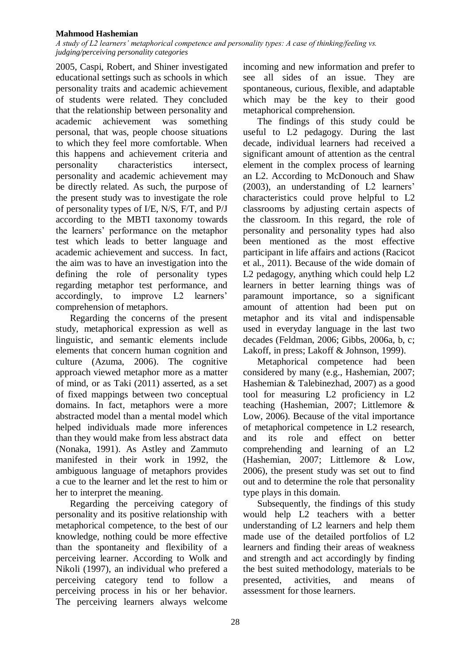*A study of L2 learners' metaphorical competence and personality types: A case of thinking/feeling vs. judging/perceiving personality categories*

2005, Caspi, Robert, and Shiner investigated educational settings such as schools in which personality traits and academic achievement of students were related. They concluded that the relationship between personality and academic achievement was something personal, that was, people choose situations to which they feel more comfortable. When this happens and achievement criteria and personality characteristics intersect, personality and academic achievement may be directly related. As such, the purpose of the present study was to investigate the role of personality types of I/E, N/S, F/T, and P/J according to the MBTI taxonomy towards the learners' performance on the metaphor test which leads to better language and academic achievement and success. In fact, the aim was to have an investigation into the defining the role of personality types regarding metaphor test performance, and accordingly, to improve L2 learners' comprehension of metaphors.

Regarding the concerns of the present study, metaphorical expression as well as linguistic, and semantic elements include elements that concern human cognition and culture (Azuma, 2006). The cognitive approach viewed metaphor more as a matter of mind, or as Taki (2011) asserted, as a set of fixed mappings between two conceptual domains. In fact, metaphors were a more abstracted model than a mental model which helped individuals made more inferences than they would make from less abstract data (Nonaka, 1991). As Astley and Zammuto manifested in their work in 1992, the ambiguous language of metaphors provides a cue to the learner and let the rest to him or her to interpret the meaning.

Regarding the perceiving category of personality and its positive relationship with metaphorical competence, to the best of our knowledge, nothing could be more effective than the spontaneity and flexibility of a perceiving learner. According to Wolk and Nikoli (1997), an individual who prefered a perceiving category tend to follow a perceiving process in his or her behavior. The perceiving learners always welcome

incoming and new information and prefer to see all sides of an issue. They are spontaneous, curious, flexible, and adaptable which may be the key to their good metaphorical comprehension.

The findings of this study could be useful to L2 pedagogy. During the last decade, individual learners had received a significant amount of attention as the central element in the complex process of learning an L2. According to McDonouch and Shaw (2003), an understanding of L2 learners' characteristics could prove helpful to L2 classrooms by adjusting certain aspects of the classroom. In this regard, the role of personality and personality types had also been mentioned as the most effective participant in life affairs and actions (Racicot et al., 2011). Because of the wide domain of L2 pedagogy, anything which could help L2 learners in better learning things was of paramount importance, so a significant amount of attention had been put on metaphor and its vital and indispensable used in everyday language in the last two decades (Feldman, 2006; Gibbs, 2006a, b, c; Lakoff, in press; Lakoff & Johnson, 1999).

Metaphorical competence had been considered by many (e.g., Hashemian, 2007; Hashemian & Talebinezhad, 2007) as a good tool for measuring L2 proficiency in L2 teaching (Hashemian, 2007; Littlemore & Low, 2006). Because of the vital importance of metaphorical competence in L2 research, and its role and effect on better comprehending and learning of an L2 (Hashemian, 2007; Littlemore & Low, 2006), the present study was set out to find out and to determine the role that personality type plays in this domain.

Subsequently, the findings of this study would help L2 teachers with a better understanding of L2 learners and help them made use of the detailed portfolios of L2 learners and finding their areas of weakness and strength and act accordingly by finding the best suited methodology, materials to be presented, activities, and means of assessment for those learners.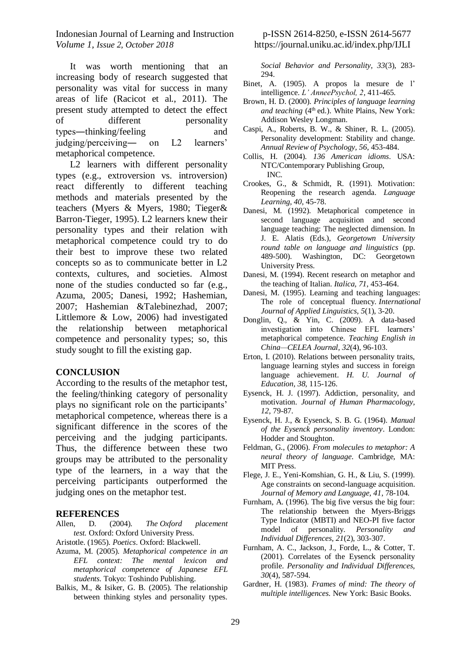It was worth mentioning that an increasing body of research suggested that personality was vital for success in many areas of life (Racicot et al., 2011). The present study attempted to detect the effect of different personality types―thinking/feeling and judging/perceiving― on L2 learners' metaphorical competence.

L<sub>2</sub> learners with different personality types (e.g., extroversion vs. introversion) react differently to different teaching methods and materials presented by the teachers (Myers & Myers, 1980; Tieger& Barron-Tieger, 1995). L2 learners knew their personality types and their relation with metaphorical competence could try to do their best to improve these two related concepts so as to communicate better in L2 contexts, cultures, and societies. Almost none of the studies conducted so far (e.g., Azuma, 2005; Danesi, 1992; Hashemian, 2007; Hashemian &Talebinezhad, 2007; Littlemore & Low, 2006) had investigated the relationship between metaphorical competence and personality types; so, this study sought to fill the existing gap.

## **CONCLUSION**

According to the results of the metaphor test, the feeling/thinking category of personality plays no significant role on the participants' metaphorical competence, whereas there is a significant difference in the scores of the perceiving and the judging participants. Thus, the difference between these two groups may be attributed to the personality type of the learners, in a way that the perceiving participants outperformed the judging ones on the metaphor test.

#### **REFERENCES**

- Allen, D. (2004). *The Oxford placement test.* Oxford: Oxford University Press.
- Aristotle. (1965). *Poetics*. Oxford: Blackwell.
- Azuma, M. (2005). *Metaphorical competence in an EFL context: The mental lexicon and metaphorical competence of Japanese EFL students.* Tokyo: Toshindo Publishing.
- Balkis, M., & Isiker, G. B. (2005). The relationship between thinking styles and personality types.

## p-ISSN 2614-8250, e-ISSN 2614-5677 https://journal.uniku.ac.id/index.php/IJLI

*Social Behavior and Personality, 33*(3), 283- 294.

- Binet, A. (1905). A propos la mesure de l' intelligence. *L' AnneePsychol, 2*, 411-465.
- Brown, H. D. (2000). *Principles of language learning and teaching* (4<sup>th</sup> ed.). White Plains, New York: Addison Wesley Longman.
- Caspi, A., Roberts, B. W., & Shiner, R. L. (2005). Personality development: Stability and change. *Annual Review of Psychology, 56*, 453-484.
- Collis, H. (2004). *136 American idioms*. USA: NTC/Contemporary Publishing Group, INC.
- Crookes, G., & Schmidt, R. (1991). Motivation: Reopening the research agenda. *Language Learning, 40*, 45-78.
- Danesi, M. (1992). Metaphorical competence in second language acquisition and second language teaching: The neglected dimension. In J. E. Alatis (Eds.), *Georgetown University round table on language and linguistics* (pp. 489-500). Washington, DC: Georgetown University Press.
- Danesi, M. (1994). Recent research on metaphor and the teaching of Italian. *Italica, 71*, 453-464.
- Danesi, M. (1995). Learning and teaching languages: The role of conceptual fluency. *International Journal of Applied Linguistics, 5*(1), 3-20.
- Donglin, Q., & Yin, C. (2009). A data-based investigation into Chinese EFL learners' metaphorical competence. *Teaching English in China—CELEA Journal, 32*(4), 96-103.
- Erton, I. (2010). Relations between personality traits, language learning styles and success in foreign language achievement. *H. U. Journal of Education, 38,* 115-126.
- Eysenck, H. J. (1997). Addiction, personality, and motivation. *Journal of Human Pharmacology, 12*, 79-87.
- Eysenck, H. J., & Eysenck, S. B. G. (1964). *Manual of the Eysenck personality inventory*. London: Hodder and Stoughton.
- Feldman, G., (2006). *From molecules to metaphor: A neural theory of language*. Cambridge, MA: MIT Press.
- Flege, J. E., Yeni-Komshian, G. H., & Liu, S. (1999). Age constraints on second-language acquisition. *Journal of Memory and Language, 41*, 78-104.
- Furnham, A. (1996). The big five versus the big four: The relationship between the Myers-Briggs Type Indicator (MBTI) and NEO-PI five factor model of personality. *Personality and Individual Differences, 21*(2), 303-307.
- Furnham, A. C., Jackson, J., Forde, L., & Cotter, T. (2001). Correlates of the Eysenck personality profile. *Personality and Individual Differences, 30*(4), 587-594.
- Gardner, H. (1983). *Frames of mind: The theory of multiple intelligences.* New York: Basic Books.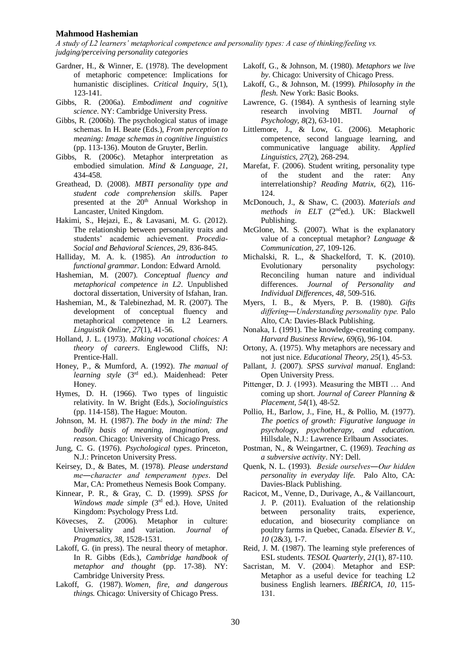*A study of L2 learners' metaphorical competence and personality types: A case of thinking/feeling vs. judging/perceiving personality categories*

- Gardner, H., & Winner, E. (1978). The development of metaphoric competence: Implications for humanistic disciplines. *Critical Inquiry, 5*(1), 123-141.
- Gibbs, R. (2006a). *Embodiment and cognitive science*. NY: Cambridge University Press.
- Gibbs, R. (2006b). The psychological status of image schemas. In H. Beate (Eds.), *From perception to meaning: Image schemas in cognitive linguistics*  (pp. 113-136). Mouton de Gruyter, Berlin.
- Gibbs, R. (2006c). Metaphor interpretation as embodied simulation. *Mind & Language, 21*, 434-458.
- Greathead, D. (2008). *MBTI personality type and student code comprehension skill*s. Paper presented at the 20<sup>th</sup> Annual Workshop in Lancaster, United Kingdom.
- Hakimi, S., Hejazi, E., & Lavasani, M. G. (2012). The relationship between personality traits and students' academic achievement. *Procedia-Social and Behavioral Sciences, 29*, 836-845.
- Halliday, M. A. k. (1985). *An introduction to functional grammar*. London: Edward Arnold.
- Hashemian, M. (2007). *Conceptual fluency and metaphorical competence in L2*. Unpublished doctoral dissertation, University of Isfahan, Iran.
- Hashemian, M., & Talebinezhad, M. R. (2007). The development of conceptual fluency and metaphorical competence in L2 Learners. *Linguistik Online, 27*(1), 41-56.
- Holland, J. L. (1973). *Making vocational choices: A theory of careers*. Englewood Cliffs, NJ: Prentice-Hall.
- Honey, P., & Mumford, A. (1992). *The manual of learning style* (3rd ed.). Maidenhead: Peter Honey.
- Hymes, D. H. (1966). Two types of linguistic relativity. In W. Bright (Eds.), *Sociolinguistics* (pp. 114-158). The Hague: Mouton.
- Johnson, M. H. (1987). *The body in the mind: The bodily basis of meaning, imagination, and reason.* Chicago: University of Chicago Press.
- Jung, C. G. (1976). *Psychological types*. Princeton, N.J.: Princeton University Press.
- Keirsey, D., & Bates, M. (1978). *Please understand me―character and temperament types*. Del Mar, CA: Prometheus Nemesis Book Company.
- Kinnear, P. R., & Gray, C. D. (1999). *SPSS for Windows made simple* (3rd ed.). Hove, United Kingdom: Psychology Press Ltd.
- Kövecses, Z. (2006). Metaphor in culture: Universality and variation. *Journal of Pragmatics, 38*, 1528-1531.
- Lakoff, G. (in press). The neural theory of metaphor. In R. Gibbs (Eds.), *Cambridge handbook of metaphor and thought* (pp. 17-38). NY: Cambridge University Press.
- Lakoff, G. (1987). *Women, fire, and dangerous things.* Chicago: University of Chicago Press.
- Lakoff, G., & Johnson, M. (1980). *Metaphors we live by*. Chicago: University of Chicago Press.
- Lakoff, G., & Johnson, M. (1999). *Philosophy in the flesh*. New York: Basic Books.
- Lawrence, G. (1984). A synthesis of learning style research involving MBTI. *Journal of Psychology, 8*(2), 63-101.
- Littlemore, J., & Low, G. (2006). Metaphoric competence, second language learning, and communicative language ability. *Applied Linguistics, 27*(2), 268-294.
- Marefat, F. (2006). Student writing, personality type of the student and the rater: Any interrelationship? *Reading Matrix, 6*(2), 116- 124.
- McDonouch, J., & Shaw, C. (2003). *Materials and methods in ELT* (2nded.). UK: Blackwell Publishing.
- McGlone, M. S. (2007). What is the explanatory value of a conceptual metaphor? *Language & Communication, 27,* 109-126.
- Michalski, R. L., & Shackelford, T. K. (2010). Evolutionary personality psychology: Reconciling human nature and individual differences. *Journal of Personality and Individual Differences, 48*, 509-516.
- Myers, I. B., & Myers, P. B. (1980). *Gifts differing―Understanding personality type.* Palo Alto, CA: Davies-Black Publishing.
- Nonaka, I. (1991). The knowledge-creating company. *Harvard Business Review, 69*(6), 96-104.
- Ortony, A. (1975). Why metaphors are necessary and not just nice. *Educational Theory, 25*(1), 45-53.
- Pallant, J. (2007). *SPSS survival manual*. England: Open University Press.
- Pittenger, D. J. (1993). Measuring the MBTI … And coming up short. *Journal of Career Planning & Placement, 54*(1), 48-52.
- Pollio, H., Barlow, J., Fine, H., & Pollio, M. (1977). *The poetics of growth: Figurative language in psychology, psychotherapy, and education.*  Hillsdale, N.J.: Lawrence Erlbaum Associates.
- Postman, N., & Weingartner, C. (1969). *Teaching as a subversive activity*. NY: Dell.
- Quenk, N. L. (1993). *Beside ourselves―Our hidden personality in everyday life.* Palo Alto, CA: Davies-Black Publishing.
- Racicot, M., Venne, D., Durivage, A., & Vaillancourt, J. P. (2011). Evaluation of the relationship between personality traits, experience, education, and biosecurity compliance on poultry farms in Quebec, Canada. *Elsevier B. V., 10* (2&3), 1-7.
- Reid, J. M. (1987). The learning style preferences of ESL students. *TESOL Quarterly, 21*(1), 87-110.
- Sacristan, M. V. (2004). Metaphor and ESP: Metaphor as a useful device for teaching L2 business English learners. *IBÉRICA, 10*, 115- 131.